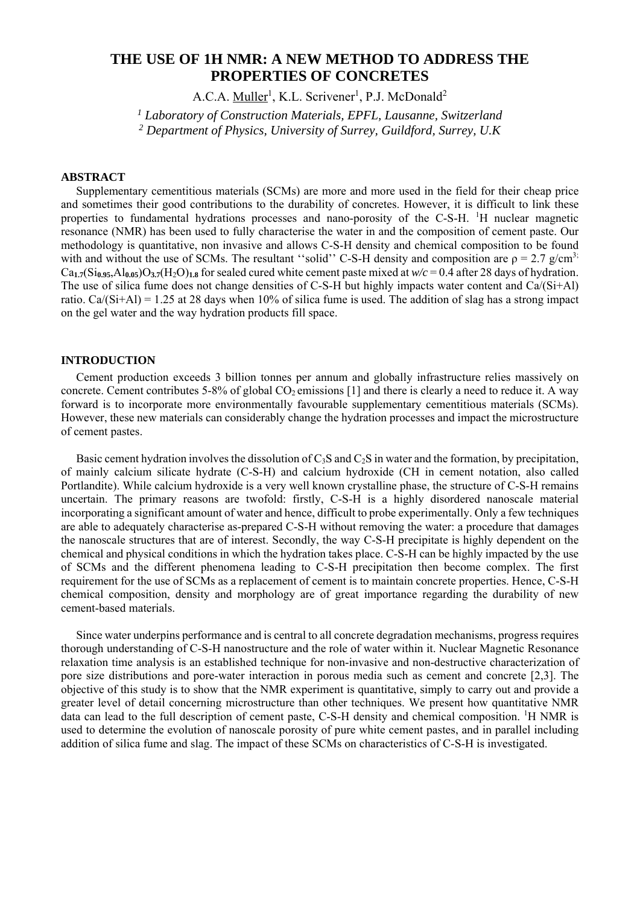# **THE USE OF 1H NMR: A NEW METHOD TO ADDRESS THE PROPERTIES OF CONCRETES**

A.C.A. Muller<sup>1</sup>, K.L. Scrivener<sup>1</sup>, P.J. McDonald<sup>2</sup>

<sup>1</sup> Laboratory of Construction Materials, EPFL, Lausanne, Switzerland *2 Department of Physics, University of Surrey, Guildford, Surrey, U.K* 

# **ABSTRACT**

 Supplementary cementitious materials (SCMs) are more and more used in the field for their cheap price and sometimes their good contributions to the durability of concretes. However, it is difficult to link these properties to fundamental hydrations processes and nano-porosity of the C-S-H. <sup>1</sup>H nuclear magnetic resonance (NMR) has been used to fully characterise the water in and the composition of cement paste. Our methodology is quantitative, non invasive and allows C-S-H density and chemical composition to be found with and without the use of SCMs. The resultant "solid" C-S-H density and composition are  $\rho = 2.7$  g/cm<sup>3;</sup>  $Ca_{1.7}(Si_{0.95}, A_{0.05})O_{3.7}(H_2O)_{1.8}$  for sealed cured white cement paste mixed at  $w/c = 0.4$  after 28 days of hydration. The use of silica fume does not change densities of C-S-H but highly impacts water content and Ca/(Si+Al) ratio. Ca/(Si+Al) = 1.25 at 28 days when 10% of silica fume is used. The addition of slag has a strong impact on the gel water and the way hydration products fill space.

## **INTRODUCTION**

Cement production exceeds 3 billion tonnes per annum and globally infrastructure relies massively on concrete. Cement contributes 5-8% of global  $CO_2$  emissions [1] and there is clearly a need to reduce it. A way forward is to incorporate more environmentally favourable supplementary cementitious materials (SCMs). However, these new materials can considerably change the hydration processes and impact the microstructure of cement pastes.

Basic cement hydration involves the dissolution of  $C_3S$  and  $C_2S$  in water and the formation, by precipitation, of mainly calcium silicate hydrate (C-S-H) and calcium hydroxide (CH in cement notation, also called Portlandite). While calcium hydroxide is a very well known crystalline phase, the structure of C-S-H remains uncertain. The primary reasons are twofold: firstly, C-S-H is a highly disordered nanoscale material incorporating a significant amount of water and hence, difficult to probe experimentally. Only a few techniques are able to adequately characterise as-prepared C-S-H without removing the water: a procedure that damages the nanoscale structures that are of interest. Secondly, the way C-S-H precipitate is highly dependent on the chemical and physical conditions in which the hydration takes place. C-S-H can be highly impacted by the use of SCMs and the different phenomena leading to C-S-H precipitation then become complex. The first requirement for the use of SCMs as a replacement of cement is to maintain concrete properties. Hence, C-S-H chemical composition, density and morphology are of great importance regarding the durability of new cement-based materials.

Since water underpins performance and is central to all concrete degradation mechanisms, progress requires thorough understanding of C-S-H nanostructure and the role of water within it. Nuclear Magnetic Resonance relaxation time analysis is an established technique for non-invasive and non-destructive characterization of pore size distributions and pore-water interaction in porous media such as cement and concrete [2,3]. The objective of this study is to show that the NMR experiment is quantitative, simply to carry out and provide a greater level of detail concerning microstructure than other techniques. We present how quantitative NMR data can lead to the full description of cement paste, C-S-H density and chemical composition. <sup>1</sup>H NMR is used to determine the evolution of nanoscale porosity of pure white cement pastes, and in parallel including addition of silica fume and slag. The impact of these SCMs on characteristics of C-S-H is investigated.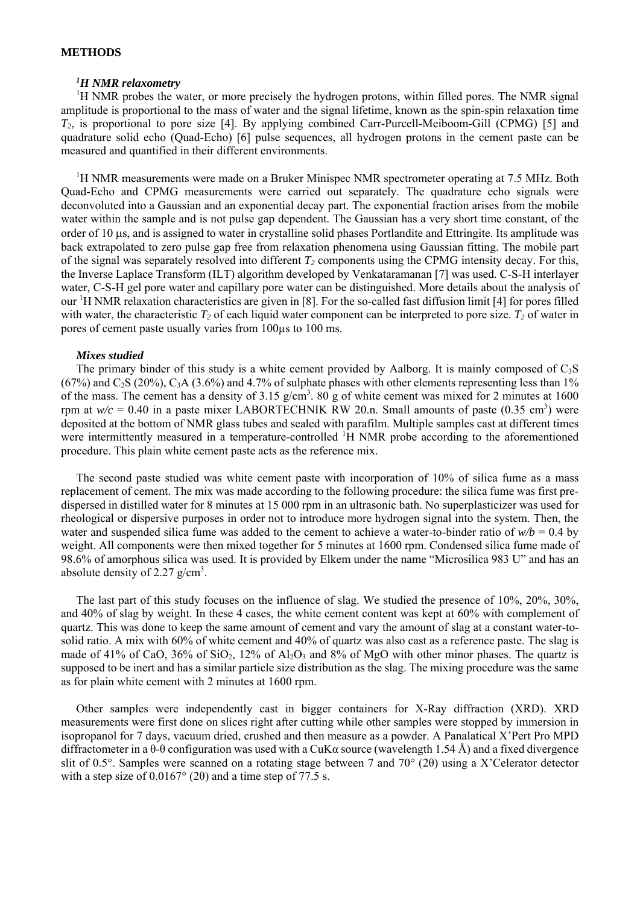## **METHODS**

# *1 H NMR relaxometry*

<sup>1</sup>H NMR probes the water, or more precisely the hydrogen protons, within filled pores. The NMR signal amplitude is proportional to the mass of water and the signal lifetime, known as the spin-spin relaxation time *T2*, is proportional to pore size [4]. By applying combined Carr-Purcell-Meiboom-Gill (CPMG) [5] and quadrature solid echo (Quad-Echo) [6] pulse sequences, all hydrogen protons in the cement paste can be measured and quantified in their different environments.

<sup>1</sup>H NMR measurements were made on a Bruker Minispec NMR spectrometer operating at 7.5 MHz. Both Quad-Echo and CPMG measurements were carried out separately. The quadrature echo signals were deconvoluted into a Gaussian and an exponential decay part. The exponential fraction arises from the mobile water within the sample and is not pulse gap dependent. The Gaussian has a very short time constant, of the order of 10  $\mu$ s, and is assigned to water in crystalline solid phases Portlandite and Ettringite. Its amplitude was back extrapolated to zero pulse gap free from relaxation phenomena using Gaussian fitting. The mobile part of the signal was separately resolved into different  $T_2$  components using the CPMG intensity decay. For this, the Inverse Laplace Transform (ILT) algorithm developed by Venkataramanan [7] was used. C-S-H interlayer water, C-S-H gel pore water and capillary pore water can be distinguished. More details about the analysis of our <sup>1</sup>H NMR relaxation characteristics are given in [8]. For the so-called fast diffusion limit [4] for pores filled with water, the characteristic  $T_2$  of each liquid water component can be interpreted to pore size.  $T_2$  of water in pores of cement paste usually varies from 100µs to 100 ms.

#### *Mixes studied*

The primary binder of this study is a white cement provided by Aalborg. It is mainly composed of  $C_3S$  $(67\%)$  and C<sub>2</sub>S (20%), C<sub>3</sub>A (3.6%) and 4.7% of sulphate phases with other elements representing less than 1% of the mass. The cement has a density of 3.15  $g/cm<sup>3</sup>$ . 80 g of white cement was mixed for 2 minutes at 1600 rpm at  $w/c = 0.40$  in a paste mixer LABORTECHNIK RW 20.n. Small amounts of paste (0.35 cm<sup>3</sup>) were deposited at the bottom of NMR glass tubes and sealed with parafilm. Multiple samples cast at different times were intermittently measured in a temperature-controlled <sup>1</sup>H NMR probe according to the aforementioned procedure. This plain white cement paste acts as the reference mix.

The second paste studied was white cement paste with incorporation of 10% of silica fume as a mass replacement of cement. The mix was made according to the following procedure: the silica fume was first predispersed in distilled water for 8 minutes at 15 000 rpm in an ultrasonic bath. No superplasticizer was used for rheological or dispersive purposes in order not to introduce more hydrogen signal into the system. Then, the water and suspended silica fume was added to the cement to achieve a water-to-binder ratio of  $w/b = 0.4$  by weight. All components were then mixed together for 5 minutes at 1600 rpm. Condensed silica fume made of 98.6% of amorphous silica was used. It is provided by Elkem under the name "Microsilica 983 U" and has an absolute density of 2.27  $g/cm<sup>3</sup>$ .

The last part of this study focuses on the influence of slag. We studied the presence of 10%, 20%, 30%, and 40% of slag by weight. In these 4 cases, the white cement content was kept at 60% with complement of quartz. This was done to keep the same amount of cement and vary the amount of slag at a constant water-tosolid ratio. A mix with 60% of white cement and 40% of quartz was also cast as a reference paste. The slag is made of 41% of CaO,  $36\%$  of SiO<sub>2</sub>,  $12\%$  of Al<sub>2</sub>O<sub>3</sub> and 8% of MgO with other minor phases. The quartz is supposed to be inert and has a similar particle size distribution as the slag. The mixing procedure was the same as for plain white cement with 2 minutes at 1600 rpm.

Other samples were independently cast in bigger containers for X-Ray diffraction (XRD). XRD measurements were first done on slices right after cutting while other samples were stopped by immersion in isopropanol for 7 days, vacuum dried, crushed and then measure as a powder. A Panalatical X'Pert Pro MPD diffractometer in a θ-θ configuration was used with a CuKα source (wavelength 1.54 Å) and a fixed divergence slit of 0.5°. Samples were scanned on a rotating stage between 7 and 70° (2θ) using a X'Celerator detector with a step size of  $0.0167^{\circ}$  (2 $\theta$ ) and a time step of 77.5 s.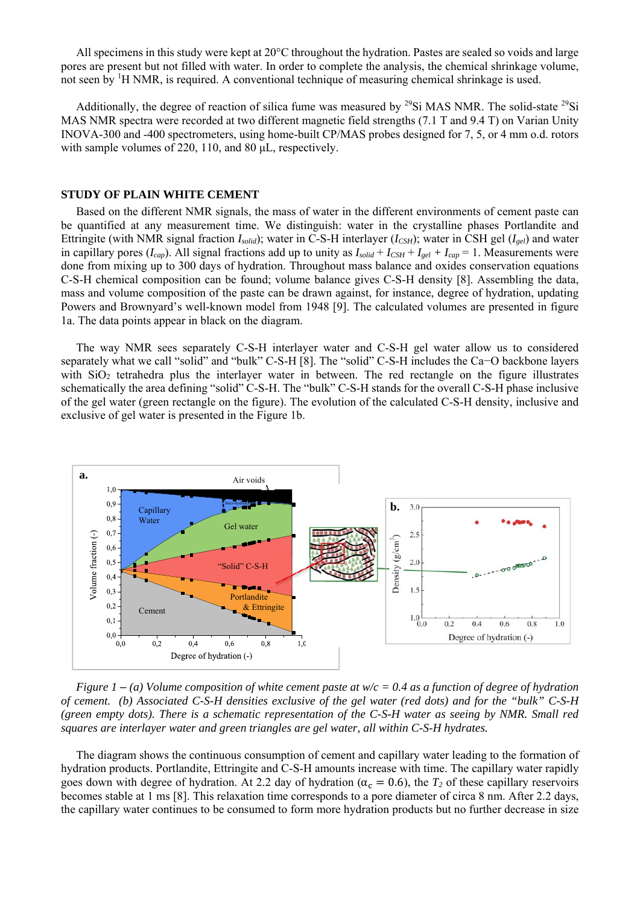All specimens in this study were kept at 20°C throughout the hydration. Pastes are sealed so voids and large pores are present but not filled with water. In order to complete the analysis, the chemical shrinkage volume, not seen by <sup>1</sup>H NMR, is required. A conventional technique of measuring chemical shrinkage is used.

Additionally, the degree of reaction of silica fume was measured by <sup>29</sup>Si MAS NMR. The solid-state <sup>29</sup>Si MAS NMR spectra were recorded at two different magnetic field strengths (7.1 T and 9.4 T) on Varian Unity INOVA-300 and -400 spectrometers, using home-built CP/MAS probes designed for 7, 5, or 4 mm o.d. rotors with sample volumes of 220, 110, and 80 µL, respectively.

#### **STUDY OF PLAIN WHITE CEMENT**

Based on the different NMR signals, the mass of water in the different environments of cement paste can be quantified at any measurement time. We distinguish: water in the crystalline phases Portlandite and Ettringite (with NMR signal fraction *Isolid*); water in C-S-H interlayer (*ICSH*); water in CSH gel (*Igel*) and water in capillary pores ( $I_{cap}$ ). All signal fractions add up to unity as  $I_{solid} + I_{CSH} + I_{gel} + I_{cap} = 1$ . Measurements were done from mixing up to 300 days of hydration. Throughout mass balance and oxides conservation equations C-S-H chemical composition can be found; volume balance gives C-S-H density [8]. Assembling the data, mass and volume composition of the paste can be drawn against, for instance, degree of hydration, updating Powers and Brownyard's well-known model from 1948 [9]. The calculated volumes are presented in figure 1a. The data points appear in black on the diagram.

The way NMR sees separately C-S-H interlayer water and C-S-H gel water allow us to considered separately what we call "solid" and "bulk" C-S-H [8]. The "solid" C-S-H includes the Ca–O backbone layers with SiO<sub>2</sub> tetrahedra plus the interlayer water in between. The red rectangle on the figure illustrates schematically the area defining "solid" C-S-H. The "bulk" C-S-H stands for the overall C-S-H phase inclusive of the gel water (green rectangle on the figure). The evolution of the calculated C-S-H density, inclusive and exclusive of gel water is presented in the Figure 1b.



*Figure 1* – *(a) Volume composition of white cement paste at w/c = 0.4 as a function of degree of hydration of cement. (b) Associated C-S-H densities exclusive of the gel water (red dots) and for the "bulk" C-S-H (green empty dots). There is a schematic representation of the C-S-H water as seeing by NMR. Small red squares are interlayer water and green triangles are gel water, all within C-S-H hydrates.* 

The diagram shows the continuous consumption of cement and capillary water leading to the formation of hydration products. Portlandite, Ettringite and C-S-H amounts increase with time. The capillary water rapidly goes down with degree of hydration. At 2.2 day of hydration ( $\alpha_{\rm c} = 0.6$ ), the  $T_2$  of these capillary reservoirs becomes stable at 1 ms [8]. This relaxation time corresponds to a pore diameter of circa 8 nm. After 2.2 days, the capillary water continues to be consumed to form more hydration products but no further decrease in size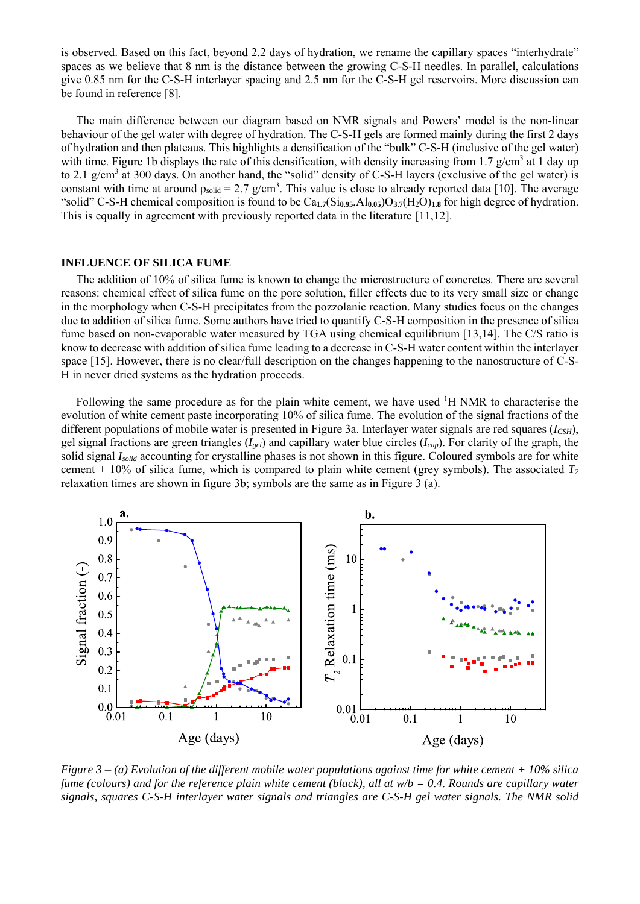is observed. Based on this fact, beyond 2.2 days of hydration, we rename the capillary spaces "interhydrate" spaces as we believe that 8 nm is the distance between the growing C-S-H needles. In parallel, calculations give 0.85 nm for the C-S-H interlayer spacing and 2.5 nm for the C-S-H gel reservoirs. More discussion can be found in reference [8].

The main difference between our diagram based on NMR signals and Powers' model is the non-linear behaviour of the gel water with degree of hydration. The C-S-H gels are formed mainly during the first 2 days of hydration and then plateaus. This highlights a densification of the "bulk" C-S-H (inclusive of the gel water) with time. Figure 1b displays the rate of this densification, with density increasing from 1.7 g/cm<sup>3</sup> at 1 day up to 2.1 g/cm<sup>3</sup> at 300 days. On another hand, the "solid" density of C-S-H layers (exclusive of the gel water) is constant with time at around  $\rho_{solid} = 2.7$  g/cm<sup>3</sup>. This value is close to already reported data [10]. The average "solid" C-S-H chemical composition is found to be Ca**1.7**(Si**0.95**,Al**0.05**)O**3.7**(H2O)**1.8** for high degree of hydration. This is equally in agreement with previously reported data in the literature [11,12].

#### **INFLUENCE OF SILICA FUME**

 The addition of 10% of silica fume is known to change the microstructure of concretes. There are several reasons: chemical effect of silica fume on the pore solution, filler effects due to its very small size or change in the morphology when C-S-H precipitates from the pozzolanic reaction. Many studies focus on the changes due to addition of silica fume. Some authors have tried to quantify C-S-H composition in the presence of silica fume based on non-evaporable water measured by TGA using chemical equilibrium [13,14]. The C/S ratio is know to decrease with addition of silica fume leading to a decrease in C-S-H water content within the interlayer space [15]. However, there is no clear/full description on the changes happening to the nanostructure of C-S-H in never dried systems as the hydration proceeds.

Following the same procedure as for the plain white cement, we have used <sup>1</sup>H NMR to characterise the evolution of white cement paste incorporating 10% of silica fume. The evolution of the signal fractions of the different populations of mobile water is presented in Figure 3a. Interlayer water signals are red squares (*ICSH*), gel signal fractions are green triangles (*Igel*) and capillary water blue circles (*Icap*). For clarity of the graph, the solid signal *I<sub>solid</sub>* accounting for crystalline phases is not shown in this figure. Coloured symbols are for white cement  $+10\%$  of silica fume, which is compared to plain white cement (grey symbols). The associated  $T_2$ relaxation times are shown in figure 3b; symbols are the same as in Figure 3 (a).



*Figure 3* – *(a) Evolution of the different mobile water populations against time for white cement + 10% silica fume (colours) and for the reference plain white cement (black), all at w/b = 0.4. Rounds are capillary water signals, squares C-S-H interlayer water signals and triangles are C-S-H gel water signals. The NMR solid*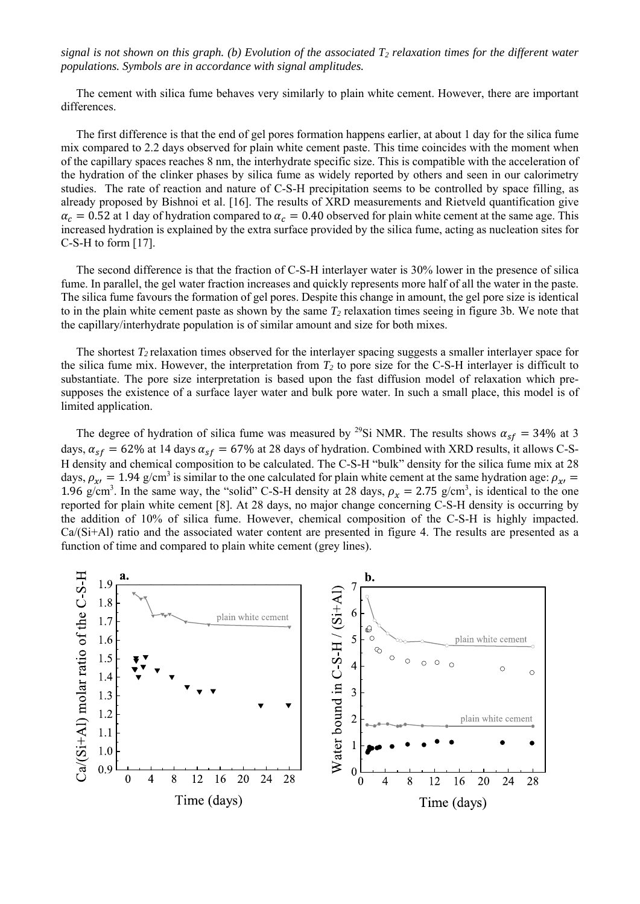*signal is not shown on this graph. (b) Evolution of the associated T2 relaxation times for the different water populations. Symbols are in accordance with signal amplitudes.*

 The cement with silica fume behaves very similarly to plain white cement. However, there are important differences.

 The first difference is that the end of gel pores formation happens earlier, at about 1 day for the silica fume mix compared to 2.2 days observed for plain white cement paste. This time coincides with the moment when of the capillary spaces reaches 8 nm, the interhydrate specific size. This is compatible with the acceleration of the hydration of the clinker phases by silica fume as widely reported by others and seen in our calorimetry studies. The rate of reaction and nature of C-S-H precipitation seems to be controlled by space filling, as already proposed by Bishnoi et al. [16]. The results of XRD measurements and Rietveld quantification give  $\alpha_c = 0.52$  at 1 day of hydration compared to  $\alpha_c = 0.40$  observed for plain white cement at the same age. This increased hydration is explained by the extra surface provided by the silica fume, acting as nucleation sites for C-S-H to form [17].

 The second difference is that the fraction of C-S-H interlayer water is 30% lower in the presence of silica fume. In parallel, the gel water fraction increases and quickly represents more half of all the water in the paste. The silica fume favours the formation of gel pores. Despite this change in amount, the gel pore size is identical to in the plain white cement paste as shown by the same  $T_2$  relaxation times seeing in figure 3b. We note that the capillary/interhydrate population is of similar amount and size for both mixes.

 The shortest *T2* relaxation times observed for the interlayer spacing suggests a smaller interlayer space for the silica fume mix. However, the interpretation from  $T_2$  to pore size for the C-S-H interlayer is difficult to substantiate. The pore size interpretation is based upon the fast diffusion model of relaxation which presupposes the existence of a surface layer water and bulk pore water. In such a small place, this model is of limited application.

The degree of hydration of silica fume was measured by <sup>29</sup>Si NMR. The results shows  $\alpha_{sf} = 34\%$  at 3 days,  $\alpha_{sf} = 62\%$  at 14 days  $\alpha_{sf} = 67\%$  at 28 days of hydration. Combined with XRD results, it allows C-S-H density and chemical composition to be calculated. The C-S-H "bulk" density for the silica fume mix at 28 days,  $\rho_{x} = 1.94$  g/cm<sup>3</sup> is similar to the one calculated for plain white cement at the same hydration age:  $\rho_{x} =$ 1.96 g/cm<sup>3</sup>. In the same way, the "solid" C-S-H density at 28 days,  $\rho_x = 2.75$  g/cm<sup>3</sup>, is identical to the one reported for plain white cement [8]. At 28 days, no major change concerning C-S-H density is occurring by the addition of 10% of silica fume. However, chemical composition of the C-S-H is highly impacted. Ca/(Si+Al) ratio and the associated water content are presented in figure 4. The results are presented as a function of time and compared to plain white cement (grey lines).

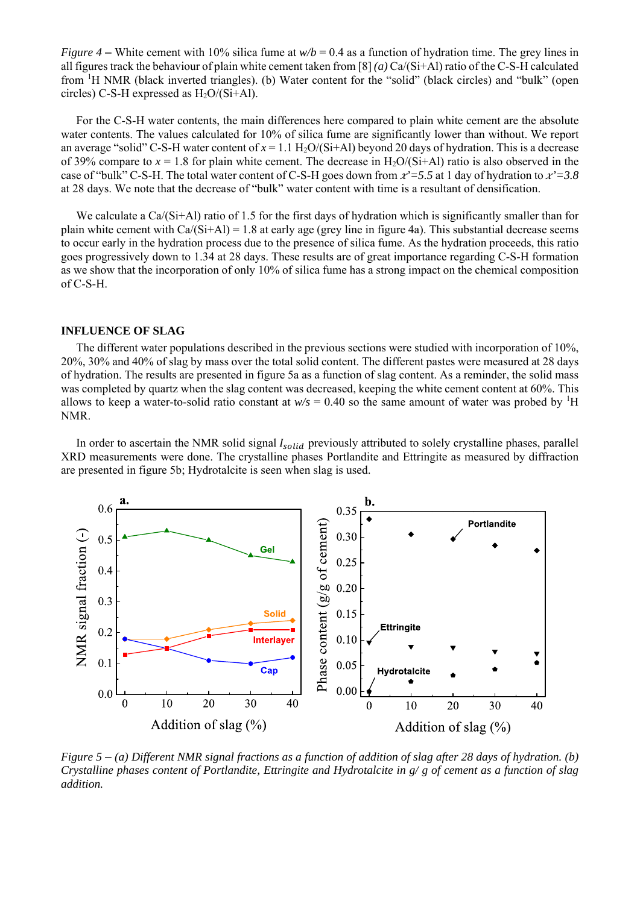*Figure 4* – White cement with 10% silica fume at  $w/b = 0.4$  as a function of hydration time. The grey lines in all figures track the behaviour of plain white cement taken from [8] *(a)* Ca/(Si+Al) ratio of the C-S-H calculated from <sup>1</sup>H NMR (black inverted triangles). (b) Water content for the "solid" (black circles) and "bulk" (open circles) C-S-H expressed as  $H_2O/(Si+Al)$ .

 For the C-S-H water contents, the main differences here compared to plain white cement are the absolute water contents. The values calculated for 10% of silica fume are significantly lower than without. We report an average "solid" C-S-H water content of  $x = 1.1$  H<sub>2</sub>O/(Si+Al) beyond 20 days of hydration. This is a decrease of 39% compare to  $x = 1.8$  for plain white cement. The decrease in H<sub>2</sub>O/(Si+Al) ratio is also observed in the case of "bulk" C-S-H. The total water content of C-S-H goes down from  $x^2 = 5.5$  at 1 day of hydration to  $x^2 = 3.8$ at 28 days. We note that the decrease of "bulk" water content with time is a resultant of densification.

We calculate a Ca/(Si+Al) ratio of 1.5 for the first days of hydration which is significantly smaller than for plain white cement with  $Ca/(Si+Al) = 1.8$  at early age (grey line in figure 4a). This substantial decrease seems to occur early in the hydration process due to the presence of silica fume. As the hydration proceeds, this ratio goes progressively down to 1.34 at 28 days. These results are of great importance regarding C-S-H formation as we show that the incorporation of only 10% of silica fume has a strong impact on the chemical composition of C-S-H.

#### **INFLUENCE OF SLAG**

 The different water populations described in the previous sections were studied with incorporation of 10%, 20%, 30% and 40% of slag by mass over the total solid content. The different pastes were measured at 28 days of hydration. The results are presented in figure 5a as a function of slag content. As a reminder, the solid mass was completed by quartz when the slag content was decreased, keeping the white cement content at 60%. This allows to keep a water-to-solid ratio constant at  $w/s = 0.40$  so the same amount of water was probed by <sup>1</sup>H NMR.

In order to ascertain the NMR solid signal  $I_{solid}$  previously attributed to solely crystalline phases, parallel XRD measurements were done. The crystalline phases Portlandite and Ettringite as measured by diffraction are presented in figure 5b; Hydrotalcite is seen when slag is used.



*Figure 5* – *(a) Different NMR signal fractions as a function of addition of slag after 28 days of hydration. (b) Crystalline phases content of Portlandite, Ettringite and Hydrotalcite in g/ g of cement as a function of slag addition.*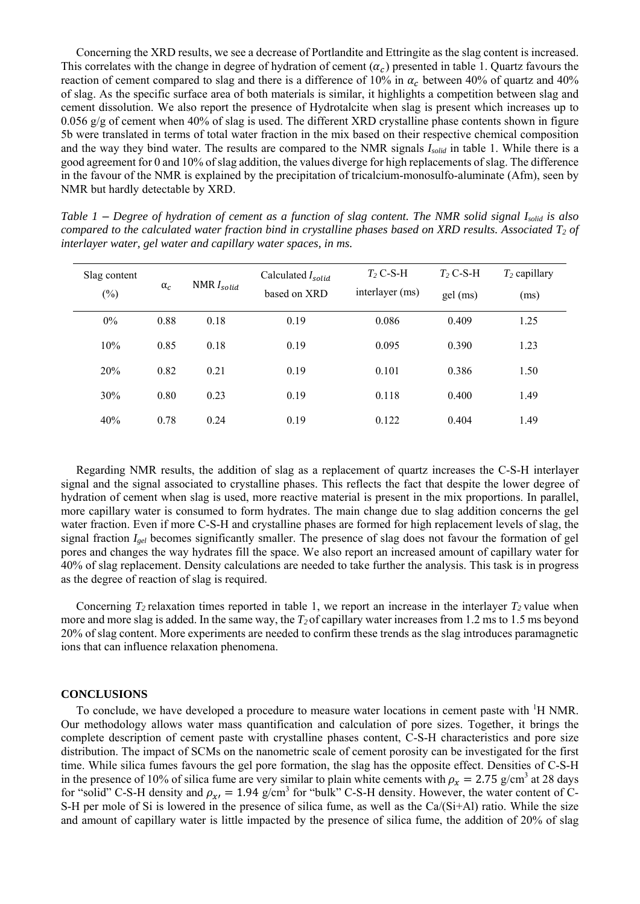Concerning the XRD results, we see a decrease of Portlandite and Ettringite as the slag content is increased. This correlates with the change in degree of hydration of cement  $(\alpha_c)$  presented in table 1. Quartz favours the reaction of cement compared to slag and there is a difference of 10% in  $\alpha_c$  between 40% of quartz and 40% of slag. As the specific surface area of both materials is similar, it highlights a competition between slag and cement dissolution. We also report the presence of Hydrotalcite when slag is present which increases up to 0.056 g/g of cement when 40% of slag is used. The different XRD crystalline phase contents shown in figure 5b were translated in terms of total water fraction in the mix based on their respective chemical composition and the way they bind water. The results are compared to the NMR signals *Isolid* in table 1. While there is a good agreement for 0 and 10% of slag addition, the values diverge for high replacements of slag. The difference in the favour of the NMR is explained by the precipitation of tricalcium-monosulfo-aluminate (Afm), seen by NMR but hardly detectable by XRD.

*Table 1* – *Degree of hydration of cement as a function of slag content. The NMR solid signal Isolid is also compared to the calculated water fraction bind in crystalline phases based on XRD results. Associated T2 of interlayer water, gel water and capillary water spaces, in ms.*

| Slag content | $\alpha_c$ | $NMRI_{solid}$ | Calculated $I_{solid}$<br>based on XRD | $T_2$ C-S-H<br>interlayer (ms) | $T_2$ C-S-H | $T_2$ capillary |
|--------------|------------|----------------|----------------------------------------|--------------------------------|-------------|-----------------|
| $(\%)$       |            |                |                                        |                                | gel (ms)    | (ms)            |
| 0%           | 0.88       | 0.18           | 0.19                                   | 0.086                          | 0.409       | 1.25            |
| 10%          | 0.85       | 0.18           | 0.19                                   | 0.095                          | 0.390       | 1.23            |
| 20%          | 0.82       | 0.21           | 0.19                                   | 0.101                          | 0.386       | 1.50            |
| 30%          | 0.80       | 0.23           | 0.19                                   | 0.118                          | 0.400       | 1.49            |
| 40%          | 0.78       | 0.24           | 0.19                                   | 0.122                          | 0.404       | 1.49            |

Regarding NMR results, the addition of slag as a replacement of quartz increases the C-S-H interlayer signal and the signal associated to crystalline phases. This reflects the fact that despite the lower degree of hydration of cement when slag is used, more reactive material is present in the mix proportions. In parallel, more capillary water is consumed to form hydrates. The main change due to slag addition concerns the gel water fraction. Even if more C-S-H and crystalline phases are formed for high replacement levels of slag, the signal fraction *Igel* becomes significantly smaller. The presence of slag does not favour the formation of gel pores and changes the way hydrates fill the space. We also report an increased amount of capillary water for 40% of slag replacement. Density calculations are needed to take further the analysis. This task is in progress as the degree of reaction of slag is required.

Concerning  $T_2$  relaxation times reported in table 1, we report an increase in the interlayer  $T_2$  value when more and more slag is added. In the same way, the *T2* of capillary water increases from 1.2 ms to 1.5 ms beyond 20% of slag content. More experiments are needed to confirm these trends as the slag introduces paramagnetic ions that can influence relaxation phenomena.

#### **CONCLUSIONS**

To conclude, we have developed a procedure to measure water locations in cement paste with <sup>1</sup>H NMR. Our methodology allows water mass quantification and calculation of pore sizes. Together, it brings the complete description of cement paste with crystalline phases content, C-S-H characteristics and pore size distribution. The impact of SCMs on the nanometric scale of cement porosity can be investigated for the first time. While silica fumes favours the gel pore formation, the slag has the opposite effect. Densities of C-S-H in the presence of 10% of silica fume are very similar to plain white cements with  $\rho_x = 2.75$  g/cm<sup>3</sup> at 28 days for "solid" C-S-H density and  $\rho_{\chi} = 1.94$  g/cm<sup>3</sup> for "bulk" C-S-H density. However, the water content of C-S-H per mole of Si is lowered in the presence of silica fume, as well as the Ca/(Si+Al) ratio. While the size and amount of capillary water is little impacted by the presence of silica fume, the addition of 20% of slag